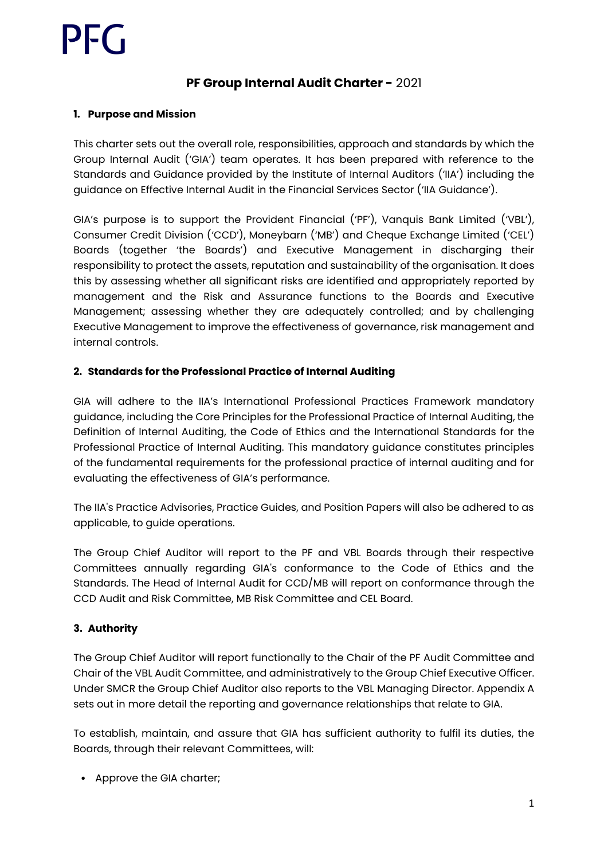## **PF Group Internal Audit Charter -** 2021

## **1. Purpose and Mission**

This charter sets out the overall role, responsibilities, approach and standards by which the Group Internal Audit ('GIA') team operates. It has been prepared with reference to the Standards and Guidance provided by the Institute of Internal Auditors ('IIA') including the guidance on Effective Internal Audit in the Financial Services Sector ('IIA Guidance').

GIA's purpose is to support the Provident Financial ('PF'), Vanquis Bank Limited ('VBL'), Consumer Credit Division ('CCD'), Moneybarn ('MB') and Cheque Exchange Limited ('CEL') Boards (together 'the Boards') and Executive Management in discharging their responsibility to protect the assets, reputation and sustainability of the organisation. It does this by assessing whether all significant risks are identified and appropriately reported by management and the Risk and Assurance functions to the Boards and Executive Management; assessing whether they are adequately controlled; and by challenging Executive Management to improve the effectiveness of governance, risk management and internal controls.

## **2. Standards for the Professional Practice of Internal Auditing**

GIA will adhere to the IIA's International Professional Practices Framework mandatory guidance, including the Core Principles for the Professional Practice of Internal Auditing, the Definition of Internal Auditing, the Code of Ethics and the International Standards for the Professional Practice of Internal Auditing. This mandatory guidance constitutes principles of the fundamental requirements for the professional practice of internal auditing and for evaluating the effectiveness of GIA's performance.

The IIA's Practice Advisories, Practice Guides, and Position Papers will also be adhered to as applicable, to guide operations.

The Group Chief Auditor will report to the PF and VBL Boards through their respective Committees annually regarding GIA's conformance to the Code of Ethics and the Standards. The Head of Internal Audit for CCD/MB will report on conformance through the CCD Audit and Risk Committee, MB Risk Committee and CEL Board.

## **3. Authority**

The Group Chief Auditor will report functionally to the Chair of the PF Audit Committee and Chair of the VBL Audit Committee, and administratively to the Group Chief Executive Officer. Under SMCR the Group Chief Auditor also reports to the VBL Managing Director. Appendix A sets out in more detail the reporting and governance relationships that relate to GIA.

To establish, maintain, and assure that GIA has sufficient authority to fulfil its duties, the Boards, through their relevant Committees, will:

• Approve the GIA charter;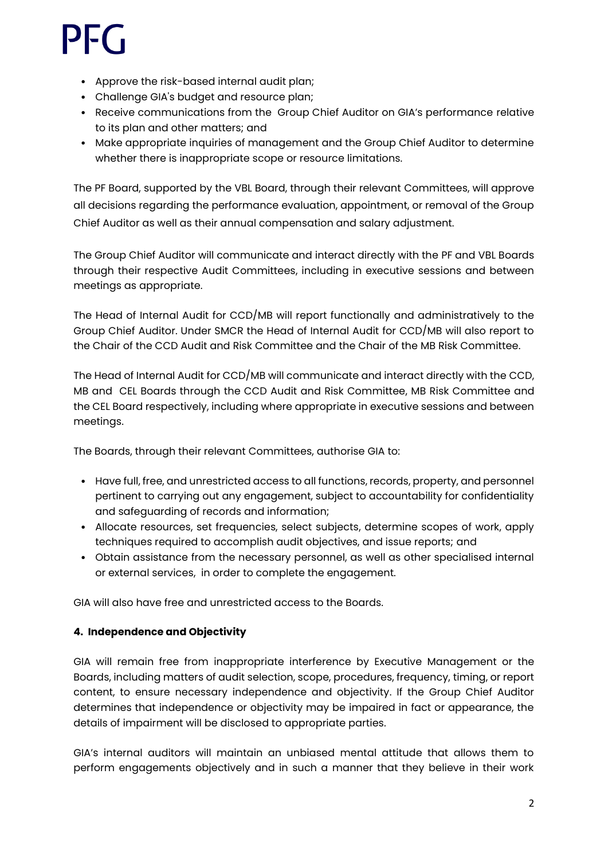- Approve the risk-based internal audit plan;
- Challenge GIA's budget and resource plan;
- Receive communications from the Group Chief Auditor on GIA's performance relative to its plan and other matters; and
- Make appropriate inquiries of management and the Group Chief Auditor to determine whether there is inappropriate scope or resource limitations.

The PF Board, supported by the VBL Board, through their relevant Committees, will approve all decisions regarding the performance evaluation, appointment, or removal of the Group Chief Auditor as well as their annual compensation and salary adjustment.

The Group Chief Auditor will communicate and interact directly with the PF and VBL Boards through their respective Audit Committees, including in executive sessions and between meetings as appropriate.

The Head of Internal Audit for CCD/MB will report functionally and administratively to the Group Chief Auditor. Under SMCR the Head of Internal Audit for CCD/MB will also report to the Chair of the CCD Audit and Risk Committee and the Chair of the MB Risk Committee.

The Head of Internal Audit for CCD/MB will communicate and interact directly with the CCD, MB and CEL Boards through the CCD Audit and Risk Committee, MB Risk Committee and the CEL Board respectively, including where appropriate in executive sessions and between meetings.

The Boards, through their relevant Committees, authorise GIA to:

- Have full, free, and unrestricted access to all functions, records, property, and personnel pertinent to carrying out any engagement, subject to accountability for confidentiality and safeguarding of records and information;
- Allocate resources, set frequencies, select subjects, determine scopes of work, apply techniques required to accomplish audit objectives, and issue reports; and
- Obtain assistance from the necessary personnel, as well as other specialised internal or external services, in order to complete the engagement.

GIA will also have free and unrestricted access to the Boards.

## **4. Independence and Objectivity**

GIA will remain free from inappropriate interference by Executive Management or the Boards, including matters of audit selection, scope, procedures, frequency, timing, or report content, to ensure necessary independence and objectivity. If the Group Chief Auditor determines that independence or objectivity may be impaired in fact or appearance, the details of impairment will be disclosed to appropriate parties.

GIA's internal auditors will maintain an unbiased mental attitude that allows them to perform engagements objectively and in such a manner that they believe in their work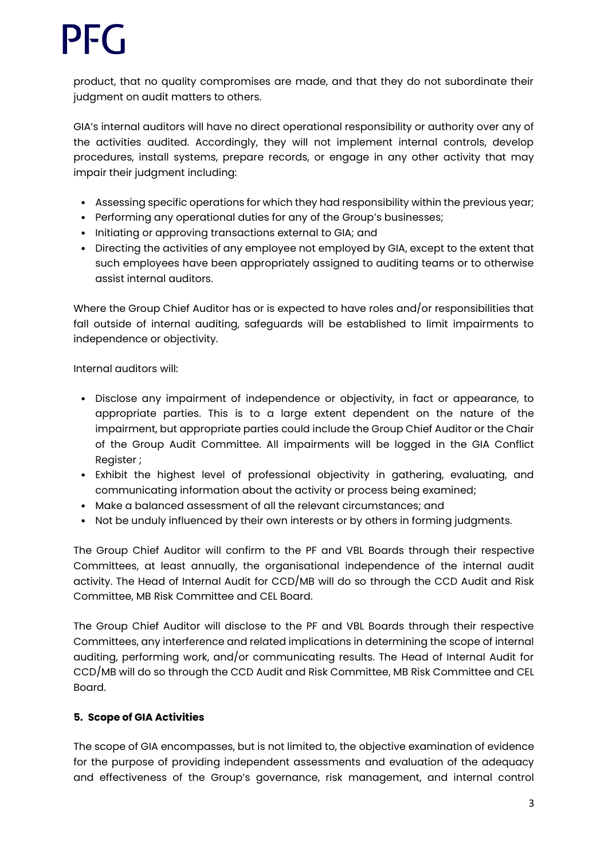product, that no quality compromises are made, and that they do not subordinate their judgment on audit matters to others.

GIA's internal auditors will have no direct operational responsibility or authority over any of the activities audited. Accordingly, they will not implement internal controls, develop procedures, install systems, prepare records, or engage in any other activity that may impair their judgment including:

- Assessing specific operations for which they had responsibility within the previous year;
- Performing any operational duties for any of the Group's businesses;
- Initiating or approving transactions external to GIA; and
- Directing the activities of any employee not employed by GIA, except to the extent that such employees have been appropriately assigned to auditing teams or to otherwise assist internal auditors.

Where the Group Chief Auditor has or is expected to have roles and/or responsibilities that fall outside of internal auditing, safeguards will be established to limit impairments to independence or objectivity.

Internal auditors will:

- Disclose any impairment of independence or objectivity, in fact or appearance, to appropriate parties. This is to a large extent dependent on the nature of the impairment, but appropriate parties could include the Group Chief Auditor or the Chair of the Group Audit Committee. All impairments will be logged in the GIA Conflict Register ;
- Exhibit the highest level of professional objectivity in gathering, evaluating, and communicating information about the activity or process being examined;
- Make a balanced assessment of all the relevant circumstances; and
- Not be unduly influenced by their own interests or by others in forming judgments.

The Group Chief Auditor will confirm to the PF and VBL Boards through their respective Committees, at least annually, the organisational independence of the internal audit activity. The Head of Internal Audit for CCD/MB will do so through the CCD Audit and Risk Committee, MB Risk Committee and CEL Board.

The Group Chief Auditor will disclose to the PF and VBL Boards through their respective Committees, any interference and related implications in determining the scope of internal auditing, performing work, and/or communicating results. The Head of Internal Audit for CCD/MB will do so through the CCD Audit and Risk Committee, MB Risk Committee and CEL Board.

#### **5. Scope of GIA Activities**

The scope of GIA encompasses, but is not limited to, the objective examination of evidence for the purpose of providing independent assessments and evaluation of the adequacy and effectiveness of the Group's governance, risk management, and internal control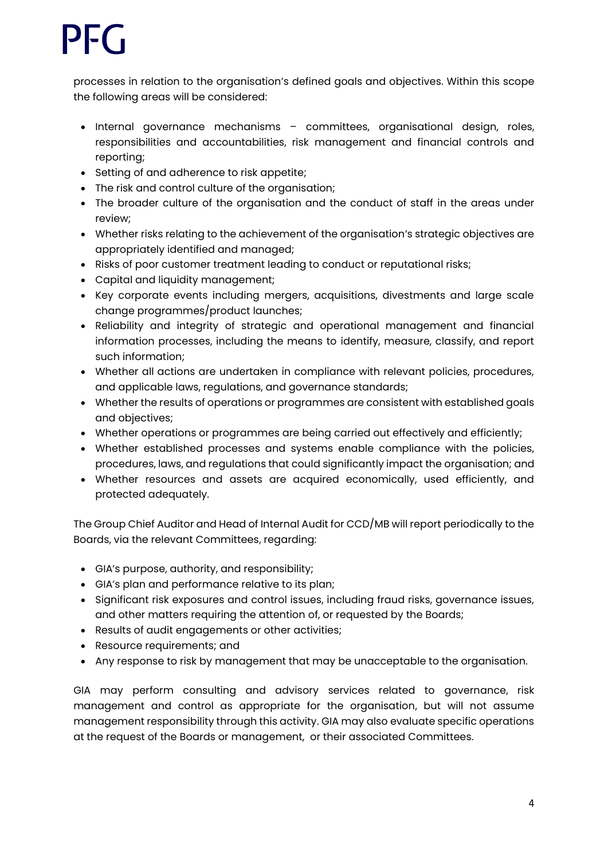processes in relation to the organisation's defined goals and objectives. Within this scope the following areas will be considered:

- Internal governance mechanisms committees, organisational design, roles, responsibilities and accountabilities, risk management and financial controls and reporting;
- Setting of and adherence to risk appetite;
- The risk and control culture of the organisation;
- The broader culture of the organisation and the conduct of staff in the areas under review;
- Whether risks relating to the achievement of the organisation's strategic objectives are appropriately identified and managed;
- Risks of poor customer treatment leading to conduct or reputational risks;
- Capital and liquidity management;
- Key corporate events including mergers, acquisitions, divestments and large scale change programmes/product launches;
- Reliability and integrity of strategic and operational management and financial information processes, including the means to identify, measure, classify, and report such information;
- Whether all actions are undertaken in compliance with relevant policies, procedures, and applicable laws, regulations, and governance standards;
- Whether the results of operations or programmes are consistent with established goals and objectives;
- Whether operations or programmes are being carried out effectively and efficiently;
- Whether established processes and systems enable compliance with the policies, procedures, laws, and regulations that could significantly impact the organisation; and
- Whether resources and assets are acquired economically, used efficiently, and protected adequately.

The Group Chief Auditor and Head of Internal Audit for CCD/MB will report periodically to the Boards, via the relevant Committees, regarding:

- GIA's purpose, authority, and responsibility;
- GIA's plan and performance relative to its plan;
- Significant risk exposures and control issues, including fraud risks, governance issues, and other matters requiring the attention of, or requested by the Boards;
- Results of audit engagements or other activities;
- Resource requirements; and
- Any response to risk by management that may be unacceptable to the organisation.

GIA may perform consulting and advisory services related to governance, risk management and control as appropriate for the organisation, but will not assume management responsibility through this activity. GIA may also evaluate specific operations at the request of the Boards or management, or their associated Committees.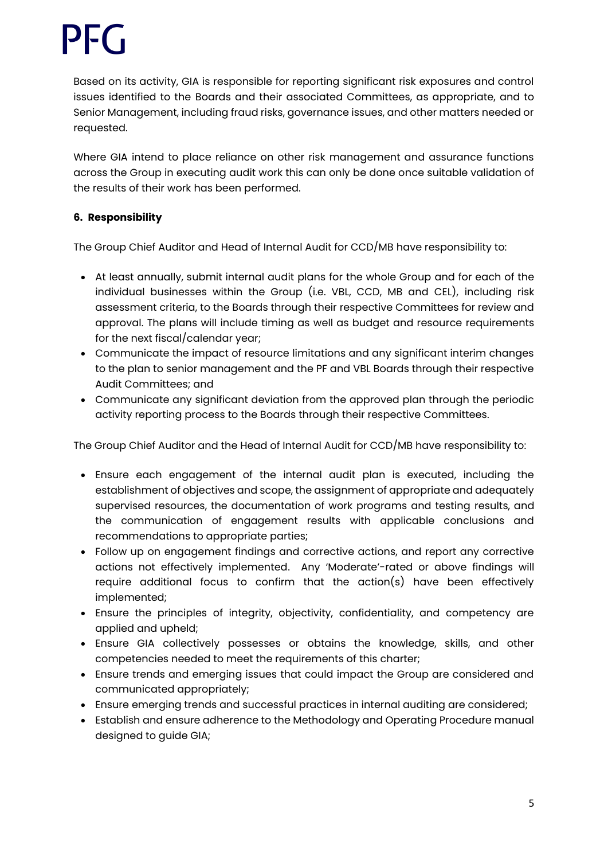Based on its activity, GIA is responsible for reporting significant risk exposures and control issues identified to the Boards and their associated Committees, as appropriate, and to Senior Management, including fraud risks, governance issues, and other matters needed or requested.

Where GIA intend to place reliance on other risk management and assurance functions across the Group in executing audit work this can only be done once suitable validation of the results of their work has been performed.

## **6. Responsibility**

The Group Chief Auditor and Head of Internal Audit for CCD/MB have responsibility to:

- At least annually, submit internal audit plans for the whole Group and for each of the individual businesses within the Group (i.e. VBL, CCD, MB and CEL), including risk assessment criteria, to the Boards through their respective Committees for review and approval. The plans will include timing as well as budget and resource requirements for the next fiscal/calendar year;
- Communicate the impact of resource limitations and any significant interim changes to the plan to senior management and the PF and VBL Boards through their respective Audit Committees; and
- Communicate any significant deviation from the approved plan through the periodic activity reporting process to the Boards through their respective Committees.

The Group Chief Auditor and the Head of Internal Audit for CCD/MB have responsibility to:

- Ensure each engagement of the internal audit plan is executed, including the establishment of objectives and scope, the assignment of appropriate and adequately supervised resources, the documentation of work programs and testing results, and the communication of engagement results with applicable conclusions and recommendations to appropriate parties;
- Follow up on engagement findings and corrective actions, and report any corrective actions not effectively implemented. Any 'Moderate'-rated or above findings will require additional focus to confirm that the action(s) have been effectively implemented;
- Ensure the principles of integrity, objectivity, confidentiality, and competency are applied and upheld;
- Ensure GIA collectively possesses or obtains the knowledge, skills, and other competencies needed to meet the requirements of this charter;
- Ensure trends and emerging issues that could impact the Group are considered and communicated appropriately;
- Ensure emerging trends and successful practices in internal auditing are considered;
- Establish and ensure adherence to the Methodology and Operating Procedure manual designed to guide GIA;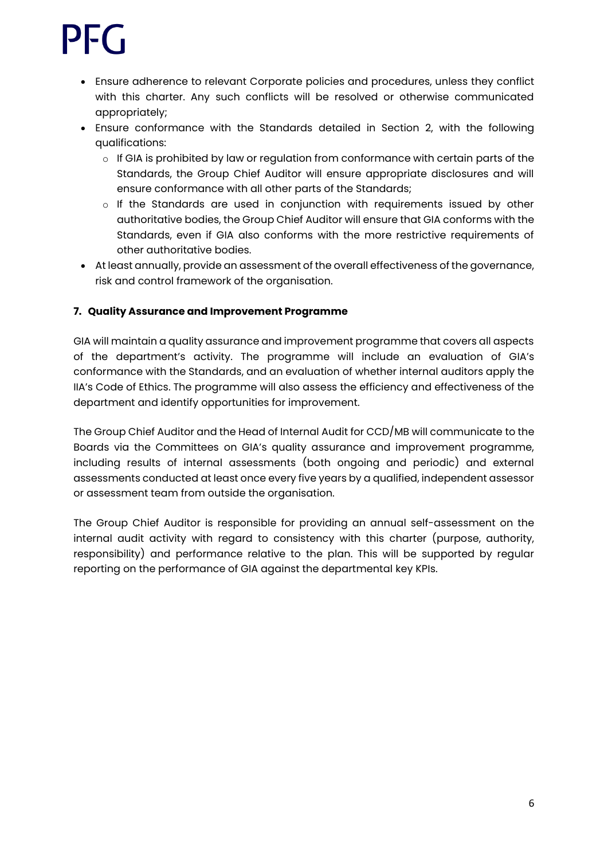# I-C 1

- Ensure adherence to relevant Corporate policies and procedures, unless they conflict with this charter. Any such conflicts will be resolved or otherwise communicated appropriately;
- Ensure conformance with the Standards detailed in Section 2, with the following qualifications:
	- $\circ$  If GIA is prohibited by law or regulation from conformance with certain parts of the Standards, the Group Chief Auditor will ensure appropriate disclosures and will ensure conformance with all other parts of the Standards;
	- $\circ$  If the Standards are used in conjunction with requirements issued by other authoritative bodies, the Group Chief Auditor will ensure that GIA conforms with the Standards, even if GIA also conforms with the more restrictive requirements of other authoritative bodies.
- At least annually, provide an assessment of the overall effectiveness of the governance, risk and control framework of the organisation.

## **7. Quality Assurance and Improvement Programme**

GIA will maintain a quality assurance and improvement programme that covers all aspects of the department's activity. The programme will include an evaluation of GIA's conformance with the Standards, and an evaluation of whether internal auditors apply the IIA's Code of Ethics. The programme will also assess the efficiency and effectiveness of the department and identify opportunities for improvement.

The Group Chief Auditor and the Head of Internal Audit for CCD/MB will communicate to the Boards via the Committees on GIA's quality assurance and improvement programme, including results of internal assessments (both ongoing and periodic) and external assessments conducted at least once every five years by a qualified, independent assessor or assessment team from outside the organisation.

The Group Chief Auditor is responsible for providing an annual self-assessment on the internal audit activity with regard to consistency with this charter (purpose, authority, responsibility) and performance relative to the plan. This will be supported by regular reporting on the performance of GIA against the departmental key KPIs.